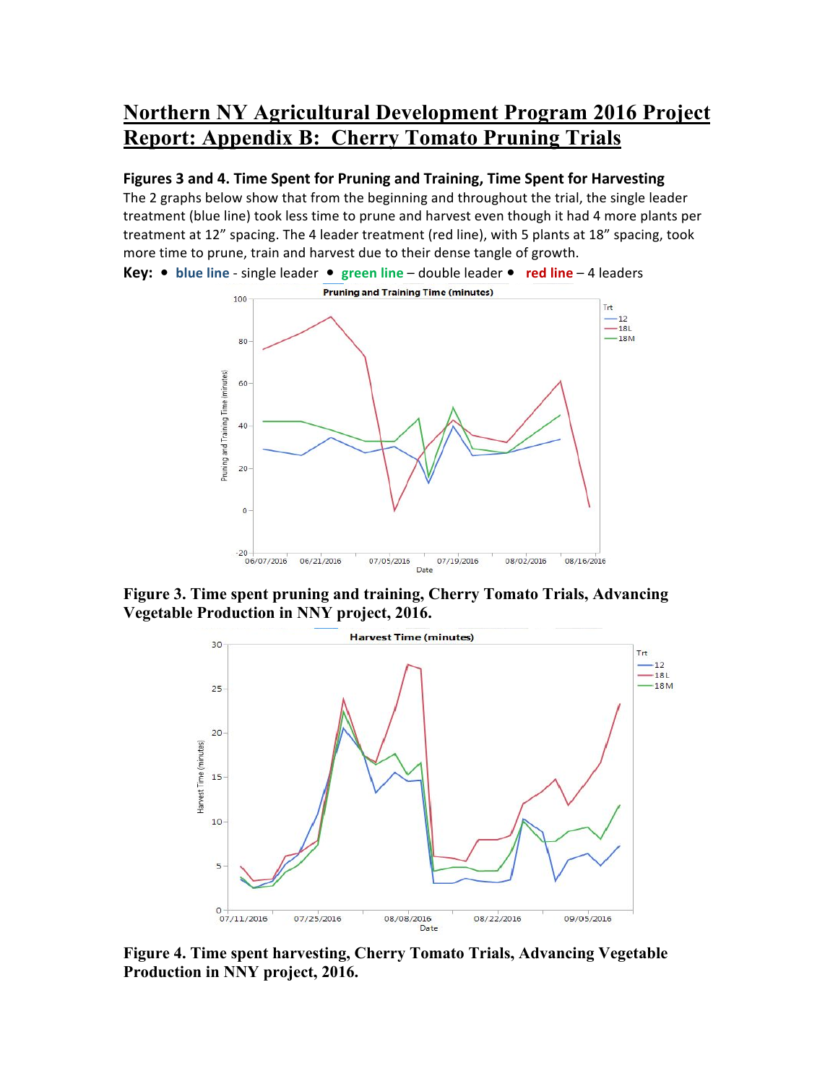## **Northern NY Agricultural Development Program 2016 Project Report: Appendix B: Cherry Tomato Pruning Trials**

## **Figures 3 and 4. Time Spent for Pruning and Training, Time Spent for Harvesting**

The 2 graphs below show that from the beginning and throughout the trial, the single leader treatment (blue line) took less time to prune and harvest even though it had 4 more plants per treatment at 12" spacing. The 4 leader treatment (red line), with 5 plants at 18" spacing, took more time to prune, train and harvest due to their dense tangle of growth.



**Figure 3. Time spent pruning and training, Cherry Tomato Trials, Advancing Vegetable Production in NNY project, 2016.**



**Figure 4. Time spent harvesting, Cherry Tomato Trials, Advancing Vegetable Production in NNY project, 2016.**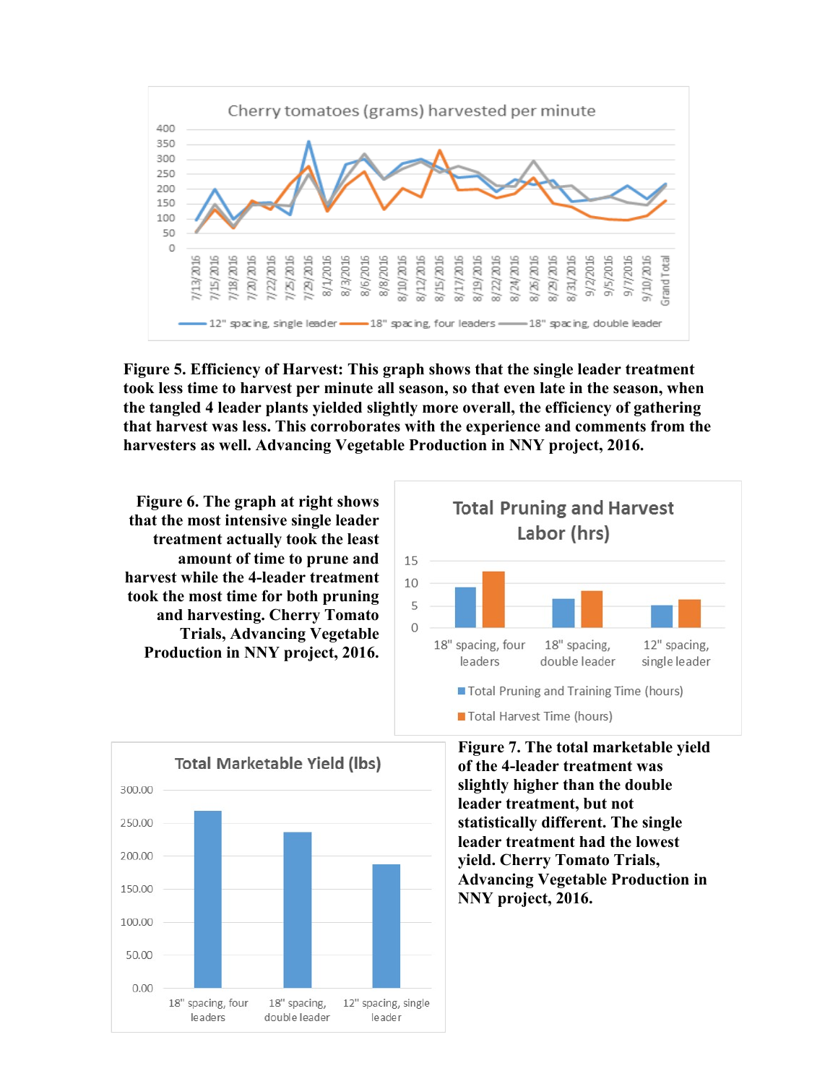

**Figure 5. Efficiency of Harvest: This graph shows that the single leader treatment took less time to harvest per minute all season, so that even late in the season, when the tangled 4 leader plants yielded slightly more overall, the efficiency of gathering that harvest was less. This corroborates with the experience and comments from the harvesters as well. Advancing Vegetable Production in NNY project, 2016.**

**Figure 6. The graph at right shows that the most intensive single leader treatment actually took the least amount of time to prune and harvest while the 4-leader treatment took the most time for both pruning and harvesting. Cherry Tomato Trials, Advancing Vegetable Production in NNY project, 2016.**





**Figure 7. The total marketable yield of the 4-leader treatment was slightly higher than the double leader treatment, but not statistically different. The single leader treatment had the lowest yield. Cherry Tomato Trials, Advancing Vegetable Production in NNY project, 2016.**